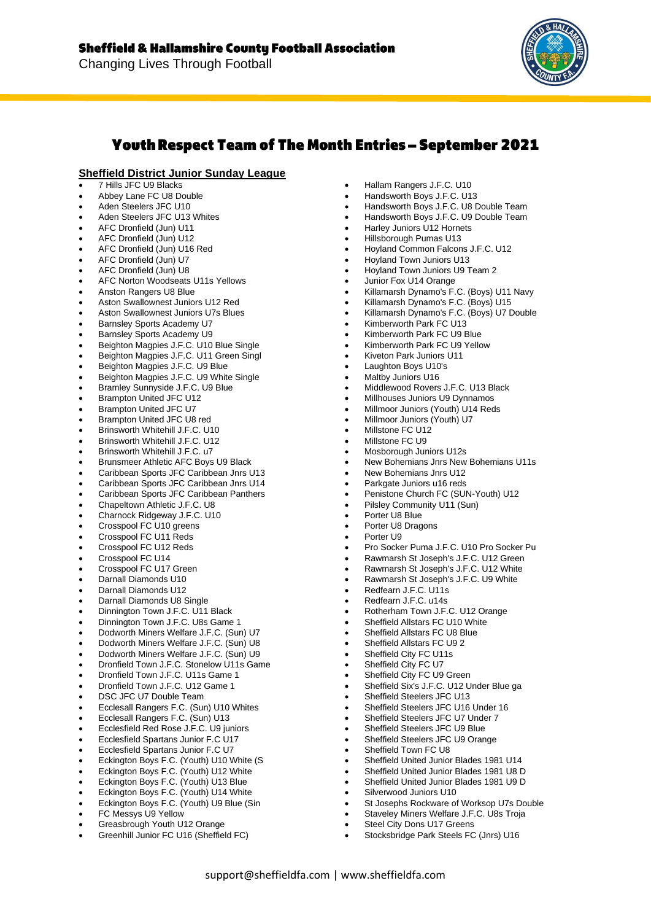

# **Youth Respect Team of The Month Entries - September 2021**

### **Sheffield District Junior Sunday League**

- 7 Hills JFC U9 Blacks
- Abbey Lane FC U8 Double
- Aden Steelers JFC U10
- Aden Steelers JFC U13 Whites
- AFC Dronfield (Jun) U11
- AFC Dronfield (Jun) U12
- AFC Dronfield (Jun) U16 Red
- AFC Dronfield (Jun) U7
- AFC Dronfield (Jun) U8
- AFC Norton Woodseats U11s Yellows
- Anston Rangers U8 Blue
- Aston Swallownest Juniors U12 Red
- Aston Swallownest Juniors U7s Blues
- Barnsley Sports Academy U7
- Barnsley Sports Academy U9
- Beighton Magpies J.F.C. U10 Blue Single
- Beighton Magpies J.F.C. U11 Green Singl
- Beighton Magpies J.F.C. U9 Blue
- Beighton Magpies J.F.C. U9 White Single
- Bramley Sunnyside J.F.C. U9 Blue
- Brampton United JFC U12
- Brampton United JFC U7
- Brampton United JFC U8 red
- Brinsworth Whitehill J.F.C. U10 • Brinsworth Whitehill J.F.C. U12
- Brinsworth Whitehill J.F.C. u7
- Brunsmeer Athletic AFC Boys U9 Black
- Caribbean Sports JFC Caribbean Jnrs U13
- Caribbean Sports JFC Caribbean Jnrs U14
- Caribbean Sports JFC Caribbean Panthers
- Chapeltown Athletic J.F.C. U8
- Charnock Ridgeway J.F.C. U10
- Crosspool FC U10 greens
- Crosspool FC U11 Reds
- Crosspool FC U12 Reds
- Crosspool FC U14
- Crosspool FC U17 Green
- Darnall Diamonds U10
- Darnall Diamonds U12
- Darnall Diamonds U8 Single
- Dinnington Town J.F.C. U11 Black
- Dinnington Town J.F.C. U8s Game 1
- Dodworth Miners Welfare J.F.C. (Sun) U7
- Dodworth Miners Welfare J.F.C. (Sun) U8
- Dodworth Miners Welfare J.F.C. (Sun) U9
- Dronfield Town J.F.C. Stonelow U11s Game
- Dronfield Town J.F.C. U11s Game 1
- Dronfield Town J.F.C. U12 Game 1
- DSC JFC U7 Double Team
- Ecclesall Rangers F.C. (Sun) U10 Whites
- Ecclesall Rangers F.C. (Sun) U13
- Ecclesfield Red Rose J.F.C. U9 juniors
- Ecclesfield Spartans Junior F.C U17
- Ecclesfield Spartans Junior F.C U7
- Eckington Boys F.C. (Youth) U10 White (S
- Eckington Boys F.C. (Youth) U12 White
- Eckington Boys F.C. (Youth) U13 Blue
- Eckington Boys F.C. (Youth) U14 White
- Eckington Boys F.C. (Youth) U9 Blue (Sin
- FC Messys U9 Yellow
- Greasbrough Youth U12 Orange
- Greenhill Junior FC U16 (Sheffield FC)
- Hallam Rangers J.F.C. U10
- Handsworth Boys J.F.C. U13
- Handsworth Boys J.F.C. U8 Double Team
- Handsworth Boys J.F.C. U9 Double Team
- Harley Juniors U12 Hornets
- Hillsborough Pumas U13
- Hoyland Common Falcons J.F.C. U12
- Hoyland Town Juniors U13
- Hoyland Town Juniors U9 Team 2
- Junior Fox U14 Orange
- Killamarsh Dynamo's F.C. (Boys) U11 Navy
- Killamarsh Dynamo's F.C. (Boys) U15
- Killamarsh Dynamo's F.C. (Boys) U7 Double
- Kimberworth Park FC U13
- Kimberworth Park FC U9 Blue
- Kimberworth Park FC U9 Yellow
- Kiveton Park Juniors U11
- Laughton Boys U10's
- Maltby Juniors U16
- Middlewood Rovers J.F.C. U13 Black
- Millhouses Juniors U9 Dynnamos
- Millmoor Juniors (Youth) U14 Reds
- Millmoor Juniors (Youth) U7
- Millstone FC U12
- Millstone FC U9
- Mosborough Juniors U12s
- New Bohemians Jnrs New Bohemians U11s
- New Bohemians Jnrs U12
- Parkgate Juniors u16 reds
- Penistone Church FC (SUN-Youth) U12
- Pilsley Community U11 (Sun)

• Redfearn J.F.C. U11s • Redfearn J.F.C. u14s

- Porter U8 Blue
- Porter U8 Dragons
- Porter LI9

support@sheffieldfa.com | www.sheffieldfa.com

• Pro Socker Puma J.F.C. U10 Pro Socker Pu • Rawmarsh St Joseph's J.F.C. U12 Green • Rawmarsh St Joseph's J.F.C. U12 White

• Rawmarsh St Joseph's J.F.C. U9 White

• Sheffield Six's J.F.C. U12 Under Blue ga

• Sheffield United Junior Blades 1981 U14 • Sheffield United Junior Blades 1981 U8 D • Sheffield United Junior Blades 1981 U9 D

• Stocksbridge Park Steels FC (Jnrs) U16

St Josephs Rockware of Worksop U7s Double Staveley Miners Welfare J.F.C. U8s Troja

• Sheffield Steelers JFC U13 Sheffield Steelers JFC U16 Under 16 Sheffield Steelers JFC U7 Under 7 Sheffield Steelers JFC U9 Blue Sheffield Steelers JFC U9 Orange

Sheffield Town FC U8

Silverwood Juniors U10

Steel City Dons U17 Greens

• Rotherham Town J.F.C. U12 Orange Sheffield Allstars FC U10 White Sheffield Allstars FC U8 Blue • Sheffield Allstars FC U9 2 Sheffield City FC U11s Sheffield City FC U7 Sheffield City FC U9 Green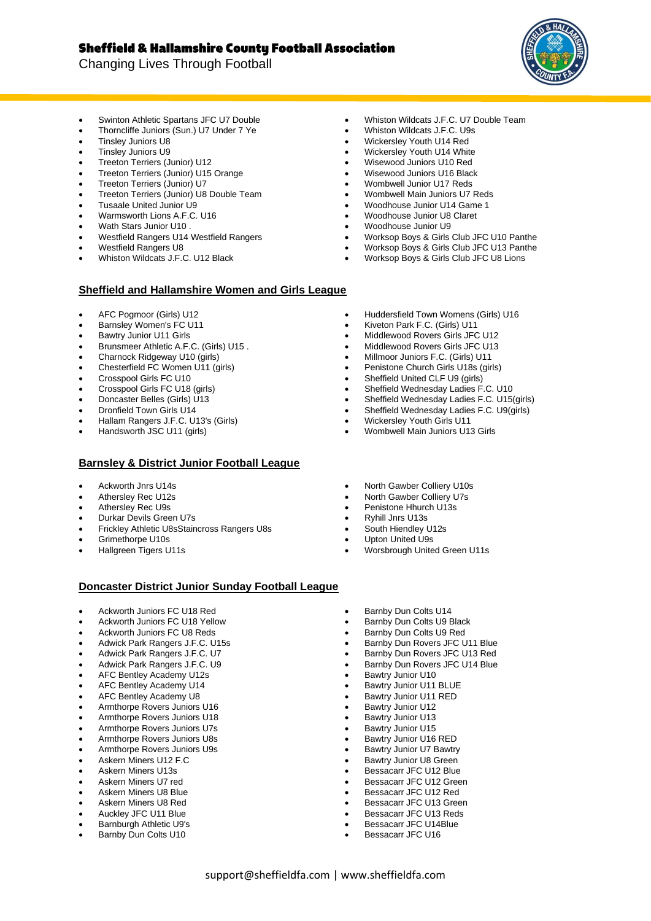Changing Lives Through Football



- Swinton Athletic Spartans JFC U7 Double
- Thorncliffe Juniors (Sun.) U7 Under 7 Ye
- Tinsley Juniors U8
- Tinsley Juniors U9
- Treeton Terriers (Junior) U12 • Treeton Terriers (Junior) U15 Orange
- Treeton Terriers (Junior) U7
- Treeton Terriers (Junior) U8 Double Team
- Tusaale United Junior U9
- Warmsworth Lions A.F.C. U16
- Wath Stars Junior U10 .
- Westfield Rangers U14 Westfield Rangers
- Westfield Rangers U8
- Whiston Wildcats J.F.C. U12 Black

### **Sheffield and Hallamshire Women and Girls League**

- AFC Pogmoor (Girls) U12
- Barnsley Women's FC U11
- Bawtry Junior U11 Girls
- Brunsmeer Athletic A.F.C. (Girls) U15 .
- Charnock Ridgeway U10 (girls)
- Chesterfield FC Women U11 (girls)
- Crosspool Girls FC U10
- Crosspool Girls FC U18 (girls)
- Doncaster Belles (Girls) U13
- Dronfield Town Girls U14
- Hallam Rangers J.F.C. U13's (Girls)
- Handsworth JSC U11 (girls)

#### **Barnsley & District Junior Football League**

- Ackworth Jnrs U14s
- Athersley Rec U12s
- Athersley Rec U9s
- Durkar Devils Green U7s
- Frickley Athletic U8sStaincross Rangers U8s
- Grimethorpe U10s
- Hallgreen Tigers U11s

• Huddersfield Town Womens (Girls) U16

• Whiston Wildcats J.F.C. U7 Double Team

• Worksop Boys & Girls Club JFC U10 Panthe • Worksop Boys & Girls Club JFC U13 Panthe • Worksop Boys & Girls Club JFC U8 Lions

• Whiston Wildcats J.F.C. U9s • Wickersley Youth U14 Red • Wickersley Youth U14 White • Wisewood Juniors U10 Red • Wisewood Juniors U16 Black • Wombwell Junior U17 Reds • Wombwell Main Juniors U7 Reds • Woodhouse Junior U14 Game 1 • Woodhouse Junior U8 Claret • Woodhouse Junior U9

- Kiveton Park F.C. (Girls) U11
- Middlewood Rovers Girls JFC U12
- Middlewood Rovers Girls JFC U13 • Millmoor Juniors F.C. (Girls) U11
- Penistone Church Girls U18s (girls)
- Sheffield United CLF U9 (girls)
- Sheffield Wednesday Ladies F.C. U10
- Sheffield Wednesday Ladies F.C. U15(girls)
- Sheffield Wednesday Ladies F.C. U9(girls)
- Wickersley Youth Girls U11
- Wombwell Main Juniors U13 Girls
- North Gawber Colliery U10s
- North Gawber Colliery U7s
- Penistone Hhurch U13s
- Ryhill Jnrs U13s
- South Hiendley U12s
- Upton United U9s
- Worsbrough United Green U11s

#### **Doncaster District Junior Sunday Football League**

- Ackworth Juniors FC U18 Red
- Ackworth Juniors FC U18 Yellow
- Ackworth Juniors FC U8 Reds
- Adwick Park Rangers J.F.C. U15s
- Adwick Park Rangers J.F.C. U7
- Adwick Park Rangers J.F.C. U9
- AFC Bentley Academy U12s
- AFC Bentley Academy U14
- AFC Bentley Academy U8
- Armthorpe Rovers Juniors U16
- Armthorpe Rovers Juniors U18
- Armthorpe Rovers Juniors U7s
- Armthorpe Rovers Juniors U8s
- Armthorpe Rovers Juniors U9s
- Askern Miners U12 F.C
- Askern Miners U13s
- Askern Miners U7 red
- Askern Miners U8 Blue
- Askern Miners U8 Red
- Auckley JFC U11 Blue
- Barnburgh Athletic U9's
- Barnby Dun Colts U10
- Barnby Dun Colts U14
- Barnby Dun Colts U9 Black
- Barnby Dun Colts U9 Red
- Barnby Dun Rovers JFC U11 Blue
- Barnby Dun Rovers JFC U13 Red
- Barnby Dun Rovers JFC U14 Blue
- Bawtry Junior U10
- Bawtry Junior U11 BLUE
- Bawtry Junior U11 RED
- Bawtry Junior U12
- Bawtry Junior U13
- Bawtry Junior U15
- Bawtry Junior U16 RED
- Bawtry Junior U7 Bawtry
- Bawtry Junior U8 Green
- Bessacarr JFC U12 Blue
- Bessacarr JFC U12 Green
- Bessacarr JFC U12 Red
- Bessacarr JFC U13 Green
- Bessacarr JFC U13 Reds • Bessacarr JFC U14Blue
- Bessacarr JFC U16
- 

support@sheffieldfa.com | www.sheffieldfa.com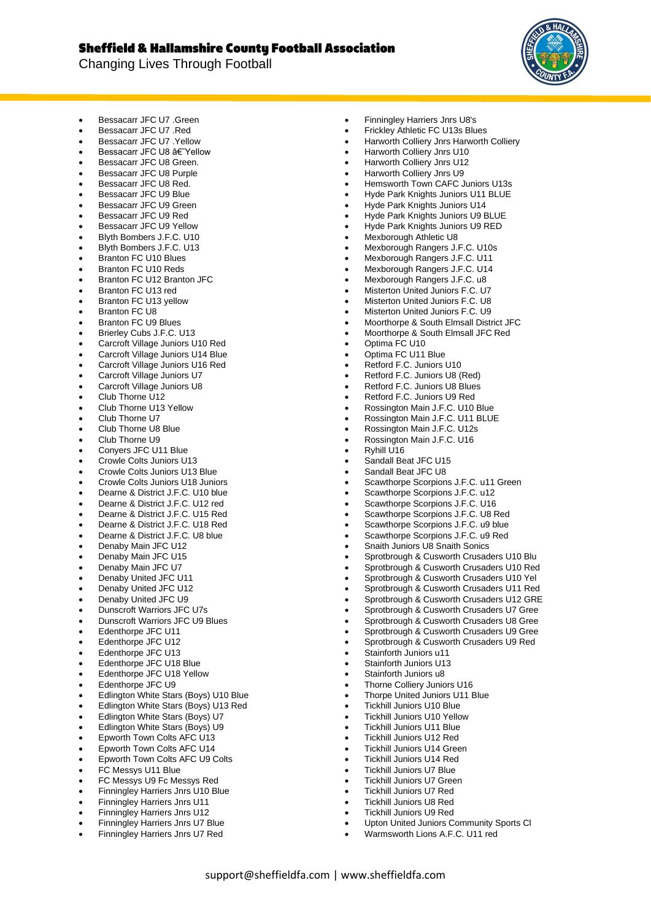## **Sheffield & Hallamshire County Football Association**

Changing Lives Through Football



- Bessacarr JFC U7 .Green
- Bessacarr JFC U7 .Red
- Bessacarr JFC U7 .Yellow
- Bessacarr JFC U8 af Yellow
- Bessacarr JFC U8 Green.
- Bessacarr JFC U8 Purple
- Bessacarr JFC U8 Red.
- Bessacarr JFC U9 Blue
- Bessacarr JFC U9 Green • Bessacarr JFC U9 Red
- Bessacarr JFC U9 Yellow
- Blyth Bombers J.F.C. U10
- Blyth Bombers J.F.C. U13
- Branton FC U10 Blues
- Branton FC U10 Reds
- Branton FC U12 Branton JFC
- Branton FC U13 red
- Branton FC U13 yellow
- Branton FC U8
- Branton FC U9 Blues
- Brierley Cubs J.F.C. U13
- Carcroft Village Juniors U10 Red
- Carcroft Village Juniors U14 Blue
- Carcroft Village Juniors U16 Red
- Carcroft Village Juniors U7
- Carcroft Village Juniors U8
- Club Thorne U12
- Club Thorne U13 Yellow
- Club Thorne U7
- Club Thorne U8 Blue
- Club Thorne U9
- Conyers JFC U11 Blue
- Crowle Colts Juniors U13
- Crowle Colts Juniors U13 Blue
- Crowle Colts Juniors U18 Juniors
- Dearne & District J.F.C. U10 blue
- Dearne & District J.F.C. U12 red
- Dearne & District J.F.C. U15 Red
- Dearne & District J.F.C. U18 Red
- Dearne & District J.F.C. U8 blue
- Denaby Main JFC U12
- Denaby Main JFC U15
- Denaby Main JFC U7
- Denaby United JFC U11
- Denaby United JFC U12
- Denaby United JFC U9
- Dunscroft Warriors JFC U7s
- Dunscroft Warriors JFC U9 Blues
- Edenthorpe JFC U11
- Edenthorpe JFC U12
- Edenthorpe JFC U13
- Edenthorpe JFC U18 Blue
- Edenthorpe JFC U18 Yellow
- Edenthorpe JFC U9
- Edlington White Stars (Boys) U10 Blue
- Edlington White Stars (Boys) U13 Red
- Edlington White Stars (Boys) U7
- Edlington White Stars (Boys) U9
- Epworth Town Colts AFC U13
- Epworth Town Colts AFC U14
- Epworth Town Colts AFC U9 Colts
- FC Messys U11 Blue
- FC Messys U9 Fc Messys Red
- Finningley Harriers Jnrs U10 Blue
- Finningley Harriers Jnrs U11
- Finningley Harriers Jnrs U12
- Finningley Harriers Jnrs U7 Blue
- Finningley Harriers Jnrs U7 Red
- Finningley Harriers Jnrs U8's
- Frickley Athletic FC U13s Blues
- Harworth Colliery Jnrs Harworth Colliery
- Harworth Colliery Jnrs U10
- Harworth Colliery Jnrs U12
- Harworth Colliery Jnrs U9
- Hemsworth Town CAFC Juniors U13s
- Hyde Park Knights Juniors U11 BLUE
- Hyde Park Knights Juniors U14
- Hyde Park Knights Juniors U9 BLUE
- Hyde Park Knights Juniors U9 RED
- Mexborough Athletic U8
- Mexborough Rangers J.F.C. U10s
- Mexborough Rangers J.F.C. U11
- Mexborough Rangers J.F.C. U14
- Mexborough Rangers J.F.C. u8
- Misterton United Juniors F.C. U7
- Misterton United Juniors F.C. U8
- Misterton United Juniors F.C. U9
- Moorthorpe & South Elmsall District JFC
- Moorthorpe & South Elmsall JFC Red
- Optima FC U10

• Ryhill U16

support@sheffieldfa.com | www.sheffieldfa.com

- Optima FC U11 Blue
- Retford F.C. Juniors U10
- Retford F.C. Juniors U8 (Red)
- Retford F.C. Juniors U8 Blues
- Retford F.C. Juniors U9 Red
- Rossington Main J.F.C. U10 Blue
- Rossington Main J.F.C. U11 BLUE • Rossington Main J.F.C. U16

Scawthorpe Scorpions J.F.C. u11 Green Scawthorpe Scorpions J.F.C. u12 Scawthorpe Scorpions J.F.C. U16 Scawthorpe Scorpions J.F.C. U8 Red Scawthorpe Scorpions J.F.C. u9 blue Scawthorpe Scorpions J.F.C. u9 Red • Snaith Juniors U8 Snaith Sonics

• Sprotbrough & Cusworth Crusaders U10 Blu • Sprotbrough & Cusworth Crusaders U10 Red • Sprotbrough & Cusworth Crusaders U10 Yel • Sprotbrough & Cusworth Crusaders U11 Red • Sprotbrough & Cusworth Crusaders U12 GRE • Sprotbrough & Cusworth Crusaders U7 Gree • Sprotbrough & Cusworth Crusaders U8 Gree • Sprotbrough & Cusworth Crusaders U9 Gree • Sprotbrough & Cusworth Crusaders U9 Red

• Upton United Juniors Community Sports Cl • Warmsworth Lions A.F.C. U11 red

• Rossington Main J.F.C. U12s

Sandall Beat JFC U15 Sandall Beat JFC U8

Stainforth Juniors u11 Stainforth Juniors U13 Stainforth Juniors u8 • Thorne Colliery Juniors U16 • Thorpe United Juniors U11 Blue • Tickhill Juniors U10 Blue • Tickhill Juniors U10 Yellow • Tickhill Juniors U11 Blue • Tickhill Juniors U12 Red • Tickhill Juniors U14 Green • Tickhill Juniors U14 Red • Tickhill Juniors U7 Blue • Tickhill Juniors U7 Green • Tickhill Juniors U7 Red • Tickhill Juniors U8 Red • Tickhill Juniors U9 Red